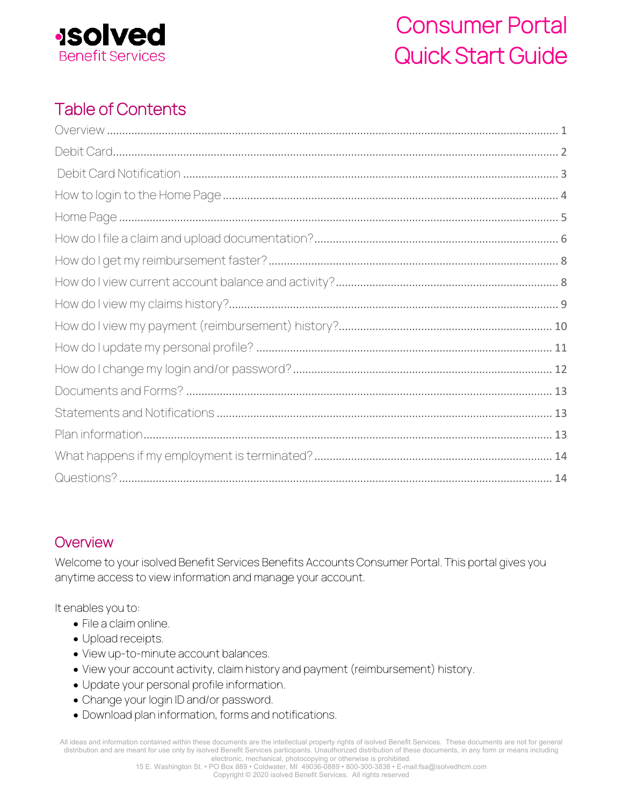

# Table of Contents

## <span id="page-0-0"></span>**Overview**

Welcome to your isolved Benefit Services Benefits Accounts Consumer Portal. This portal gives you anytime access to view information and manage your account.

It enables you to:

- File a claim online.
- Upload receipts.
- View up-to-minute account balances.
- View your account activity, claim history and payment (reimbursement) history.
- Update your personal profile information.
- Change your login ID and/or password.
- Download plan information, forms and notifications.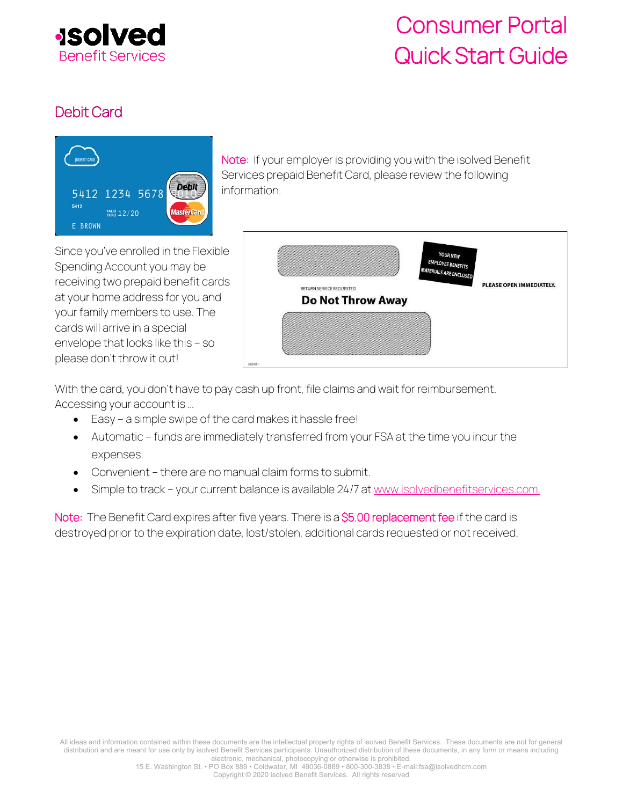

## <span id="page-1-0"></span>Debit Card



Note: If your employer is providing you with the isolved Benefit Services prepaid Benefit Card, please review the following information.

Since you've enrolled in the Flexible Spending Account you may be receiving two prepaid benefit cards at your home address for you and your family members to use. The cards will arrive in a special envelope that looks like this – so please don't throw it out!



With the card, you don't have to pay cash up front, file claims and wait for reimbursement. Accessing your account is …

- Easy a simple swipe of the card makes it hassle free!
- Automatic funds are immediately transferred from your FSA at the time you incur the expenses.
- Convenient there are no manual claim forms to submit.
- Simple to track your current balance is available 24/7 a[t www.isolvedbenefitservices.com.](http://www.isolvedbenefitservicescom/)

Note: The Benefit Card expires after five years. There is a \$5.00 replacement fee if the card is destroyed prior to the expiration date, lost/stolen, additional cards requested or not received.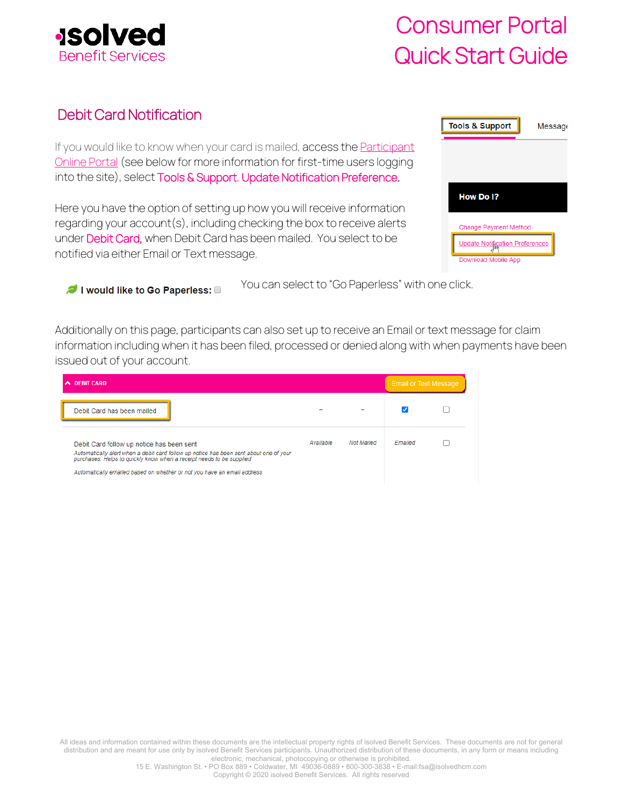

## <span id="page-2-0"></span>Debit Card Notification

If you would like to know when your card is mailed, access the **Participant** [Online Portal](https://infinconsumer.lh1ondemand.com/Login.aspx?ReturnUrl=%2f) (see below for more information for first-time users logging into the site), select Tools & Support, Update Notification Preference.

Here you have the option of setting up how you will receive information regarding your account(s), including checking the box to receive alerts under Debit Card, when Debit Card has been mailed. You select to be notified via either Email or Text message.

| <b>Tools &amp; Support</b>      | Message |
|---------------------------------|---------|
|                                 |         |
|                                 |         |
| How Do I?                       |         |
| Change Payment Method           |         |
| Update Notification Preferences |         |
| Download Mobile App             |         |

I would like to Go Paperless:

You can select to "Go Paperless" with one click.

Additionally on this page, participants can also set up to receive an Email or text message for claim information including when it has been filed, processed or denied along with when payments have been issued out of your account.

| <b>DEBIT CARD</b><br>́                                                                                                                                                                                                                                                                 |           |                   | <b>Email or Text Message</b> |  |
|----------------------------------------------------------------------------------------------------------------------------------------------------------------------------------------------------------------------------------------------------------------------------------------|-----------|-------------------|------------------------------|--|
| Debit Card has been mailed                                                                                                                                                                                                                                                             |           |                   |                              |  |
| Debit Card follow up notice has been sent<br>Automatically alert when a debit card follow up notice has been sent about one of your<br>purchases. Helps to quickly know when a receipt needs to be supplied<br>Automatically emailed based on whether or not you have an email address | Available | <b>Not Mailed</b> | Emailed                      |  |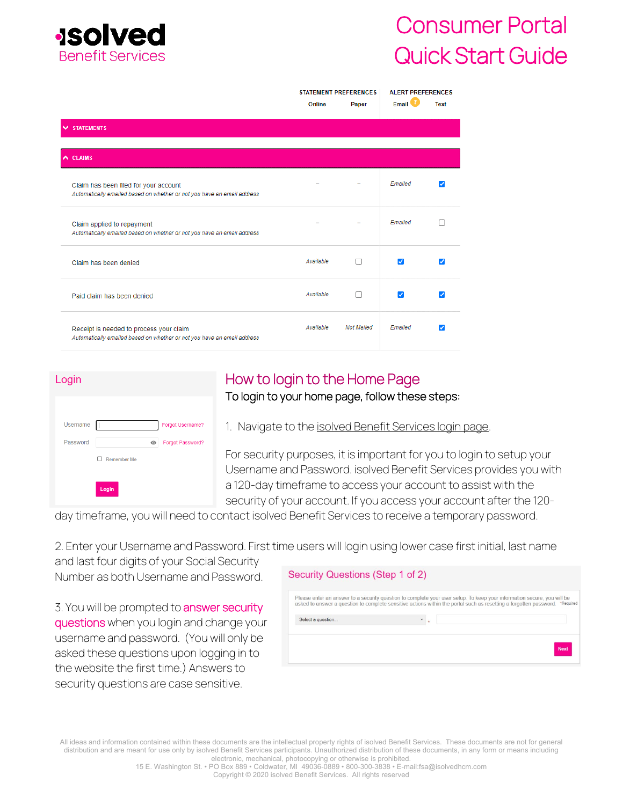

|                                                                                                                    | <b>STATEMENT PREFERENCES</b> |                   | <b>ALERT PREFERENCES</b>   |             |
|--------------------------------------------------------------------------------------------------------------------|------------------------------|-------------------|----------------------------|-------------|
|                                                                                                                    | Online                       | Paper             | Email <b>U</b>             | <b>Text</b> |
| <b>V STATEMENTS</b>                                                                                                |                              |                   |                            |             |
|                                                                                                                    |                              |                   |                            |             |
| $\wedge$ CLAIMS                                                                                                    |                              |                   |                            |             |
| Claim has been filed for your account<br>Automatically emailed based on whether or not you have an email address   |                              |                   | Emailed                    |             |
| Claim applied to repayment<br>Automatically emailed based on whether or not you have an email address              |                              |                   | Emailed                    |             |
| Claim has been denied                                                                                              | Available                    | H                 | $\boldsymbol{\mathcal{L}}$ | ◞           |
| Paid claim has been denied                                                                                         | Available                    | $\Box$            | v                          |             |
| Receipt is needed to process your claim<br>Automatically emailed based on whether or not you have an email address | Available                    | <b>Not Mailed</b> | Fmailed                    | Ø           |

| Login    |                                    |                  |
|----------|------------------------------------|------------------|
|          |                                    |                  |
| Username |                                    | Forgot Username? |
| Password | ◉                                  | Forgot Password? |
|          | <b>Remember Me</b><br>$\mathbf{I}$ |                  |
|          | Login                              |                  |

# <span id="page-3-0"></span>How to login to the Home Page

### To login to your home page, follow these steps:

1. Navigate to th[e isolved Benefit Services login page.](https://infinconsumer.lh1ondemand.com/Login.aspx) 

For security purposes, it is important for you to login to setup your Username and Password. isolved Benefit Services provides you with a 120-day timeframe to access your account to assist with the security of your account. If you access your account after the 120-

day timeframe, you will need to contact isolved Benefit Services to receive a temporary password.

2. Enter your Username and Password. First time users will login using lower case first initial, last name

and last four digits of your Social Security Number as both Username and Password.

3. You will be prompted to answer security questions when you login and change your username and password. (You will only be asked these questions upon logging in to the website the first time.) Answers to security questions are case sensitive.

| Security Questions (Step 1 of 2) |  |
|----------------------------------|--|

| Select a question |            |
|-------------------|------------|
|                   |            |
|                   |            |
|                   |            |
|                   | <b>Nex</b> |
|                   |            |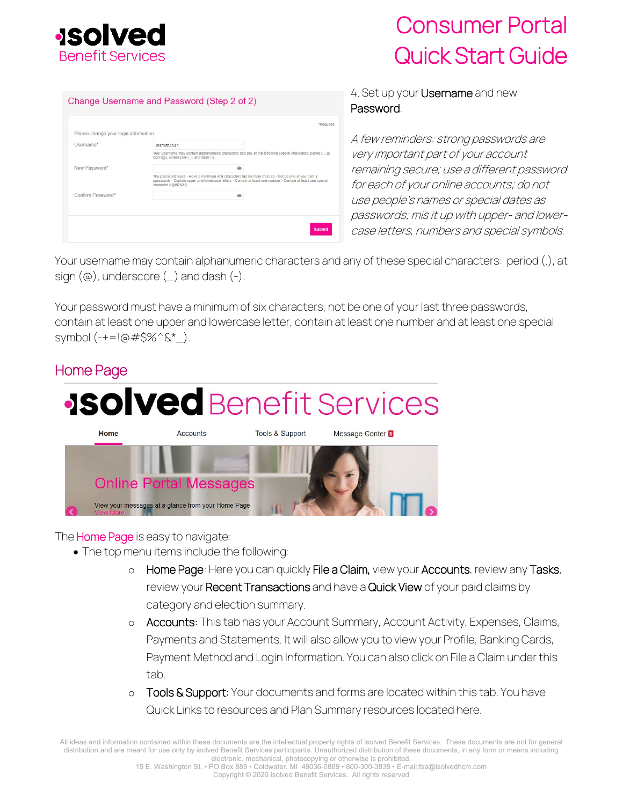

|                                       |                                                                                                                                                                                                                                           | *Required |
|---------------------------------------|-------------------------------------------------------------------------------------------------------------------------------------------------------------------------------------------------------------------------------------------|-----------|
| Please change your login information. |                                                                                                                                                                                                                                           |           |
| Username*                             | msmith4141                                                                                                                                                                                                                                |           |
|                                       | Your username may contain alphanumeric characters and any of the following special characters: period (.), at<br>sign $(Q)$ , underscore $(\_)$ , and dash $(\-)$ .                                                                       |           |
| New Password*                         | $\omega$                                                                                                                                                                                                                                  |           |
|                                       | The password must: Have a minimum of 6 characters but no more than 20 - Not be one of your last 3<br>passwords · Contain upper and lowercase letters · Contain at least one number - Contain at least one special<br>character (!@#\$%&*) |           |
| Confirm Password*                     | ◉                                                                                                                                                                                                                                         |           |
|                                       |                                                                                                                                                                                                                                           |           |
|                                       |                                                                                                                                                                                                                                           |           |

### 4. Set up your Username and new Password.

A few reminders: strong passwords are very important part of your account remaining secure; use a different password for each of your online accounts; do not use people's names or special dates as passwords; mis it up with upper- and lowercase letters, numbers and special symbols.

Your username may contain alphanumeric characters and any of these special characters: period (.), at sign  $(\circledcirc)$ , underscore  $(\_)$  and dash  $(\text{-})$ .

Your password must have a minimum of six characters, not be one of your last three passwords, contain at least one upper and lowercase letter, contain at least one number and at least one special symbol  $(-+1)$   $(4+5\%$   $(8^{\ast})$ .

## <span id="page-4-0"></span>Home Page



The **Home Page** is easy to navigate:

- The top menu items include the following:
	- o Home Page: Here you can quickly File a Claim, view your Accounts, review any Tasks, review your Recent Transactions and have a Quick View of your paid claims by category and election summary.
	- o Accounts: This tab has your Account Summary, Account Activity, Expenses, Claims, Payments and Statements. It will also allow you to view your Profile, Banking Cards, Payment Method and Login Information. You can also click on File a Claim under this tab.
	- o Tools & Support: Your documents and forms are located within this tab. You have Quick Links to resources and Plan Summary resources located here.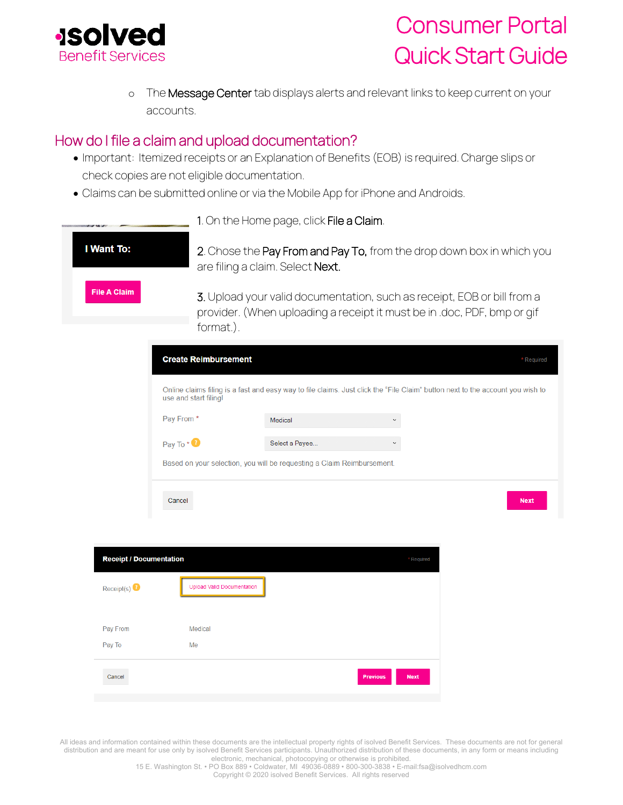

o The Message Center tab displays alerts and relevant links to keep current on your accounts.

### <span id="page-5-0"></span>How do I file a claim and upload documentation?

- Important: Itemized receipts or an Explanation of Benefits (EOB) is required. Charge slips or check copies are not eligible documentation.
- Claims can be submitted online or via the Mobile App for iPhone and Androids.

|                                |                                                                        | 1. On the Home page, click File a Claim. |                                                                                                                                                    |             |
|--------------------------------|------------------------------------------------------------------------|------------------------------------------|----------------------------------------------------------------------------------------------------------------------------------------------------|-------------|
| I Want To:                     |                                                                        | are filing a claim. Select Next.         | 2. Chose the Pay From and Pay To, from the drop down box in which you                                                                              |             |
| <b>File A Claim</b>            | format.).                                                              |                                          | 3. Upload your valid documentation, such as receipt, EOB or bill from a<br>provider. (When uploading a receipt it must be in .doc, PDF, bmp or gif |             |
|                                | <b>Create Reimbursement</b>                                            |                                          |                                                                                                                                                    | * Required  |
|                                | use and start filing!                                                  |                                          | Online claims filing is a fast and easy way to file claims. Just click the "File Claim" button next to the account you wish to                     |             |
|                                | Pay From *                                                             | Medical                                  |                                                                                                                                                    |             |
|                                | Pay To * <sup>0</sup>                                                  | Select a Payee                           | $\checkmark$                                                                                                                                       |             |
|                                | Based on your selection, you will be requesting a Claim Reimbursement. |                                          |                                                                                                                                                    |             |
|                                | Cancel                                                                 |                                          |                                                                                                                                                    | <b>Next</b> |
|                                |                                                                        |                                          |                                                                                                                                                    |             |
| <b>Receipt / Documentation</b> |                                                                        |                                          | * Required                                                                                                                                         |             |
| Receipt(s) $\bullet$           | <b>Upload Valid Documentation</b>                                      |                                          |                                                                                                                                                    |             |
| Pay From                       | Medical                                                                |                                          |                                                                                                                                                    |             |
| Pay To                         | Me                                                                     |                                          |                                                                                                                                                    |             |
| Cancel                         |                                                                        |                                          | <b>Previous</b><br><b>Next</b>                                                                                                                     |             |
|                                |                                                                        |                                          |                                                                                                                                                    |             |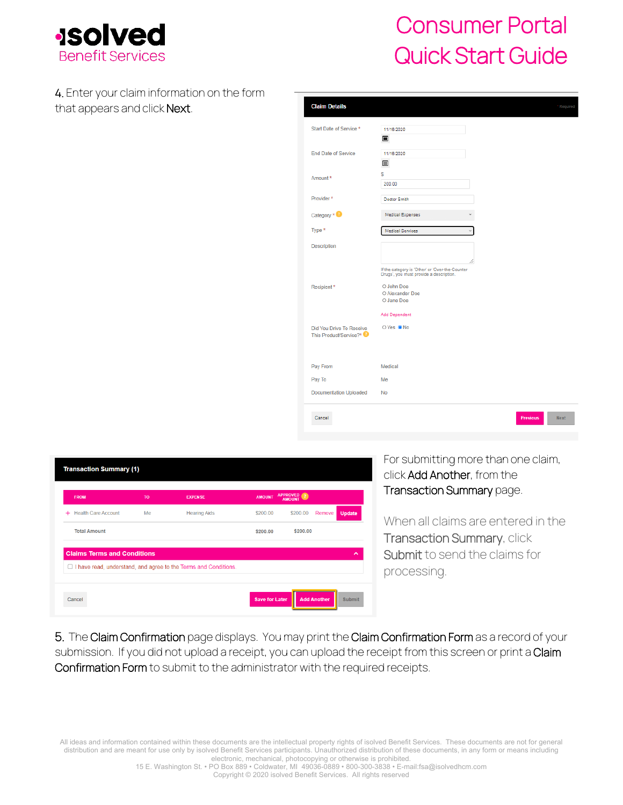

4. Enter your claim information on the form that appears and click Next.

| <b>Claim Details</b>                               | * Required                                                                                 |
|----------------------------------------------------|--------------------------------------------------------------------------------------------|
| Start Date of Service *                            | 11/16/2020                                                                                 |
|                                                    | $\blacksquare$                                                                             |
| <b>End Date of Service</b>                         | 11/16/2020<br>目                                                                            |
| Amount *                                           | s<br>200.00                                                                                |
| Provider*                                          | Doctor Smith                                                                               |
| Category $*$                                       | <b>Medical Expenses</b>                                                                    |
| Type *                                             | <b>Medical Services</b>                                                                    |
| <b>Description</b>                                 |                                                                                            |
|                                                    | If the category is 'Other' or 'Over-the-Counter<br>Drugs', you must provide a description. |
| Recipient*                                         | O John Doe<br>O Alexander Doe<br>O Jane Doe                                                |
|                                                    | Add Dependent                                                                              |
| Did You Drive To Receive<br>This Product/Service?* | OYes ●No                                                                                   |
|                                                    |                                                                                            |
| Pay From                                           | Medical                                                                                    |
| Pay To                                             | Me                                                                                         |
| <b>Documentation Uploaded</b>                      | No                                                                                         |
| Cancel                                             | <b>Previous</b><br><b>Next</b>                                                             |

|       | <b>FROM</b>                        | TO | <b>EXPENSE</b>                                                    | <b>AMOUNT</b> | <b>APPROVED</b><br>AMOUNT |        |               |
|-------|------------------------------------|----|-------------------------------------------------------------------|---------------|---------------------------|--------|---------------|
| $\pm$ | <b>Health Care Account</b>         | Me | <b>Hearing Aids</b>                                               | \$200.00      | \$200.00                  | Remove | <b>Update</b> |
|       | <b>Total Amount</b>                |    |                                                                   | \$200.00      | \$200.00                  |        |               |
|       | <b>Claims Terms and Conditions</b> |    |                                                                   |               |                           |        | ^             |
|       |                                    |    | □ I have read, understand, and agree to the Terms and Conditions. |               |                           |        |               |

For submitting more than one claim, click Add Another, from the Transaction Summary page.

When all claims are entered in the Transaction Summary, click Submit to send the claims for processing.

5. The Claim Confirmation page displays. You may print the Claim Confirmation Form as a record of your submission. If you did not upload a receipt, you can upload the receipt from this screen or print a Claim Confirmation Form to submit to the administrator with the required receipts.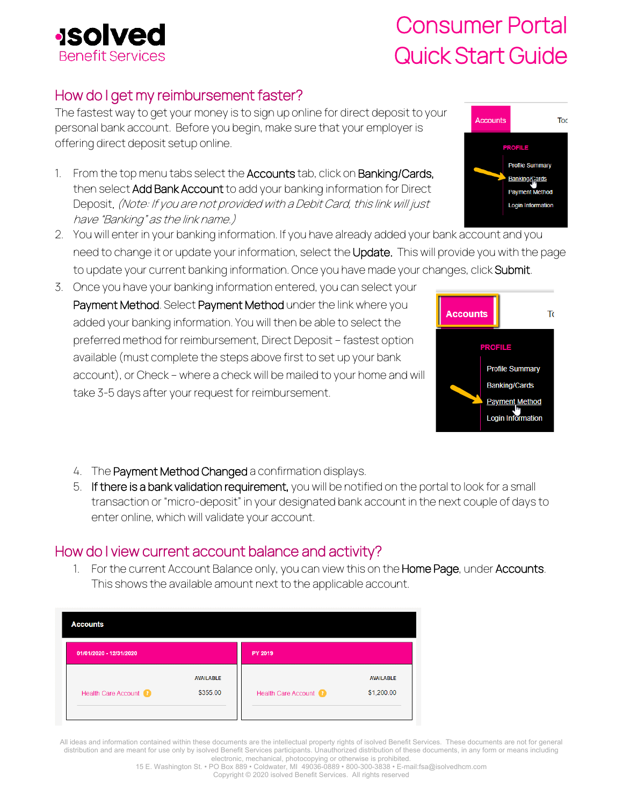## <span id="page-7-0"></span>How do I get my reimbursement faster?

The fastest way to get your money is to sign up online for direct deposit to your personal bank account. Before you begin, make sure that your employer is offering direct deposit setup online.

- 1. From the top menu tabs select the **Accounts** tab, click on **Banking/Cards,** then select Add Bank Account to add your banking information for Direct Deposit. (Note: If you are not provided with a Debit Card, this link will just have "Banking" as the link name.)
- 2. You will enter in your banking information. If you have already added your bank account and you need to change it or update your information, select the Update. This will provide you with the page to update your current banking information. Once you have made your changes, click Submit.
- 3. Once you have your banking information entered, you can select your Payment Method. Select Payment Method under the link where you added your banking information. You will then be able to select the preferred method for reimbursement, Direct Deposit – fastest option available (must complete the steps above first to set up your bank account), or Check – where a check will be mailed to your home and will take 3-5 days after your request for reimbursement.
	- 4. The Payment Method Changed a confirmation displays.
	- 5. If there is a bank validation requirement, you will be notified on the portal to look for a small transaction or "micro-deposit" in your designated bank account in the next couple of days to enter online, which will validate your account.

## <span id="page-7-1"></span>How do I view current account balance and activity?

**AVAILABLE** 

\$355.00

PY 2019

1. For the current Account Balance only, you can view this on the Home Page, under Accounts. This shows the available amount next to the applicable account.

| All ideas and information contained within these documents are the intellectual property rights of isolved Benefit Services. These documents are not for general |
|------------------------------------------------------------------------------------------------------------------------------------------------------------------|
| distribution and are meant for use only by isolved Benefit Services participants. Unauthorized distribution of these documents, in any form or means including   |
| electronic, mechanical, photocopying or otherwise is prohibited.                                                                                                 |

Health Care Account

15 E. Washington St. • PO Box 889 • Coldwater, MI 49036-0889 • 800-300-3838 • E-mail:fsa@isolvedhcm.com

**AVAILABLE** 

\$1,200.00







**Accounts** 

01/01/2020 - 12/31/2020

Health Care Account

electronic, mechanical, photocopying or otherwise is prohibited.

Copyright © 2020 isolved Benefit Services. All rights reserved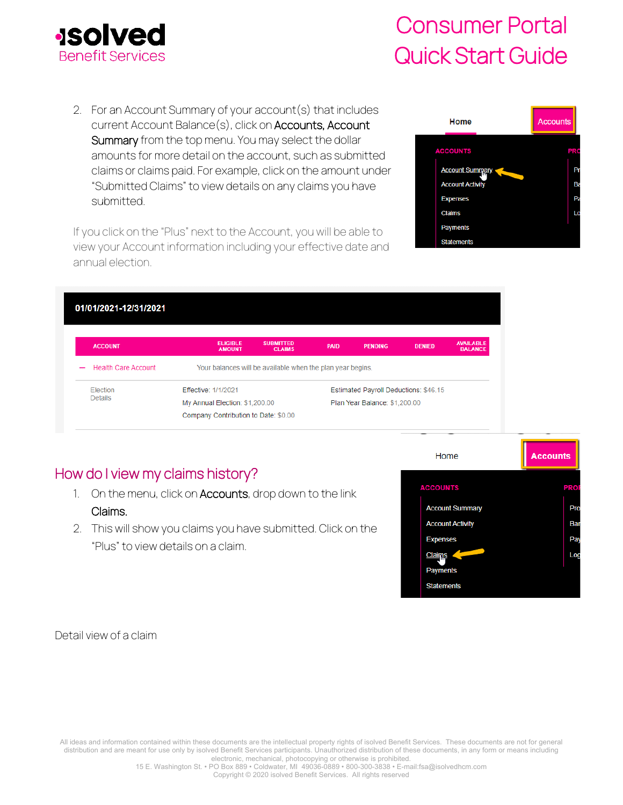

2. For an Account Summary of your account(s) that includes current Account Balance(s), click on Accounts, Account Summary from the top menu. You may select the dollar amounts for more detail on the account, such as submitted claims or claims paid. For example, click on the amount under "Submitted Claims" to view details on any claims you have submitted.

If you click on the "Plus" next to the Account, you will be able to view your Account information including your effective date and annual election.



| 01/01/2021-12/31/2021                                  |                                      |                                                            |                               |                                       |               |                                    |
|--------------------------------------------------------|--------------------------------------|------------------------------------------------------------|-------------------------------|---------------------------------------|---------------|------------------------------------|
| <b>ACCOUNT</b>                                         | <b>ELIGIBLE</b><br><b>AMOUNT</b>     | <b>SUBMITTED</b><br><b>CLAIMS</b>                          | <b>PAID</b>                   | <b>PENDING</b>                        | <b>DENIED</b> | <b>AVAILABLE</b><br><b>BALANCE</b> |
| <b>Health Care Account</b><br>$\overline{\phantom{a}}$ |                                      | Your balances will be available when the plan year begins. |                               |                                       |               |                                    |
| Election                                               | Effective: 1/1/2021                  |                                                            |                               | Estimated Payroll Deductions: \$46.15 |               |                                    |
| Details                                                | My Annual Election: \$1,200.00       |                                                            | Plan Year Balance: \$1,200.00 |                                       |               |                                    |
|                                                        | Company Contribution to Date: \$0.00 |                                                            |                               |                                       |               |                                    |

## How do I view my claims history?

- 1. On the menu, click on Accounts, drop down to the link Claims.
- 2. This will show you claims you have submitted. Click on the "Plus" to view details on a claim.

<span id="page-8-0"></span>

Detail view of a claim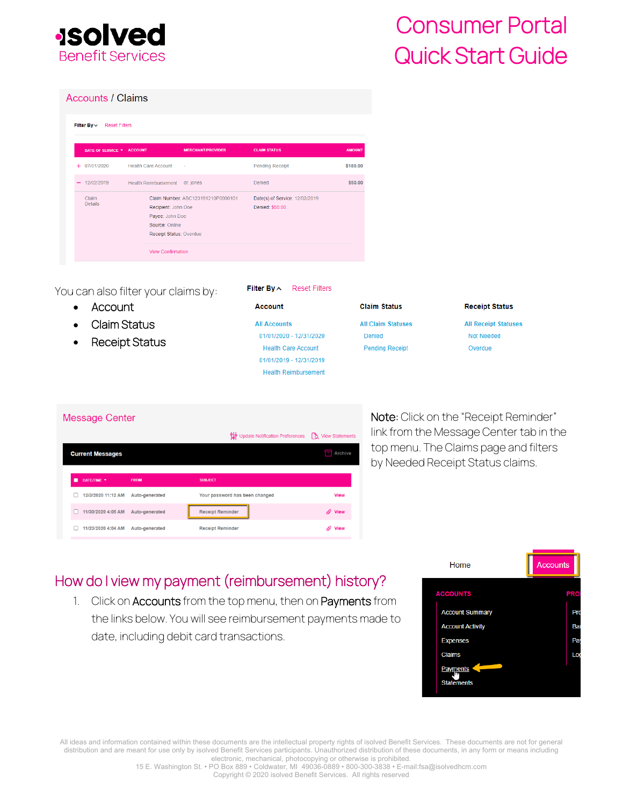

#### **Accounts / Claims**

| Filter By $\sim$        | <b>Reset Filters</b>      |                                                                                     |                                    |                                                   |               |
|-------------------------|---------------------------|-------------------------------------------------------------------------------------|------------------------------------|---------------------------------------------------|---------------|
|                         | DATE OF SERVICE ▼ ACCOUNT |                                                                                     | <b>MERCHANT/PROVIDER</b>           | <b>CLAIM STATUS</b>                               | <b>AMOUNT</b> |
| 07/01/2020<br>÷         |                           | <b>Health Care Account</b>                                                          | $\sim$                             | <b>Pending Receipt</b>                            | \$180.00      |
| 12/02/2019              |                           | <b>Health Reimbursement</b>                                                         | dr. jones                          | Denied                                            | \$50.00       |
| Claim<br><b>Details</b> |                           | Recipient: John Doe<br>Payee: John Doe<br>Source: Online<br>Receipt Status: Overdue | Claim Number: ABC123191210P0000101 | Date(s) of Service: 12/02/2019<br>Denied: \$50.00 |               |
|                         |                           | <b>View Confirmation</b>                                                            |                                    |                                                   |               |

You can also filter your claims by:

- **Account**
- Claim Status
- Receipt Status

| Filter By ∧ | <b>Reset Filters</b> |
|-------------|----------------------|
|             |                      |

| Account                     |
|-----------------------------|
| <b>All Accounts</b>         |
| 01/01/2020 - 12/31/2020     |
| <b>Health Care Account</b>  |
| 01/01/2019 - 12/31/2019     |
| <b>Health Reimbursement</b> |
|                             |

| <b>Claim Status</b> |  |
|---------------------|--|
|                     |  |

**All Claim Statuses** Denied **Pending Receipt** 

#### **Receipt Status**

**All Receipt Statuses** Not Needed Overdue

### **Message Center**

|                         |                | 입수 Update Notification Preferences Do View Statements |                      |
|-------------------------|----------------|-------------------------------------------------------|----------------------|
| <b>Current Messages</b> |                |                                                       | Archive<br>÷         |
|                         |                |                                                       |                      |
| DATE/TIME *             | <b>FROM</b>    | <b>SUBJECT</b>                                        |                      |
| 12/3/2020 11:12 AM      | Auto-generated | Your password has been changed                        | <b>View</b>          |
| 11/30/2020 4:05 AM      | Auto-generated | <b>Receipt Reminder</b>                               | <b><i>O</i></b> View |
| 11/23/2020 4:04 AM      | Auto-generated | <b>Receipt Reminder</b>                               | <b>View</b>          |

Note: Click on the "Receipt Reminder" link from the Message Center tab in the top menu. The Claims page and filters by Needed Receipt Status claims.

## <span id="page-9-0"></span>How do I view my payment (reimbursement) history?

1. Click on Accounts from the top menu, then on Payments from the links below. You will see reimbursement payments made to date, including debit card transactions.

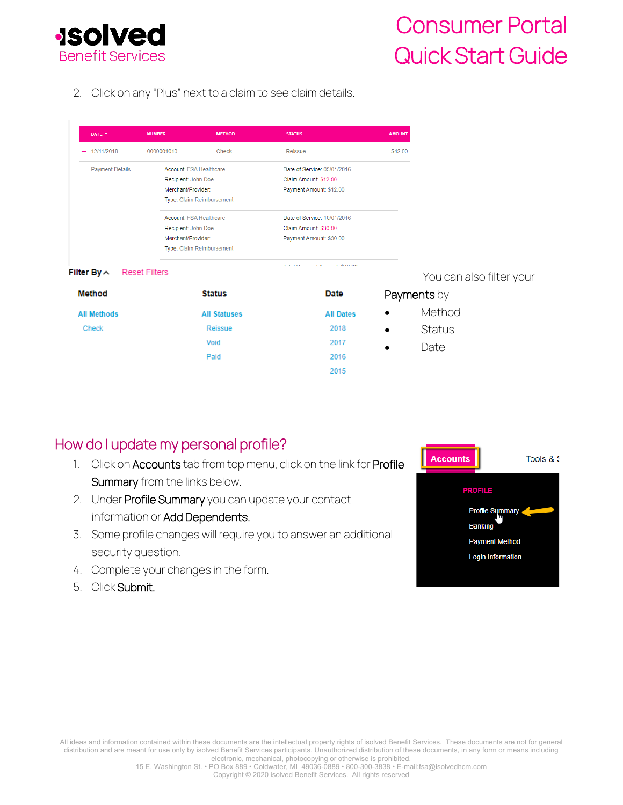

2. Click on any "Plus" next to a claim to see claim details.

| DATE Y                                 | <b>NUMBER</b>                  | <b>METHOD</b>             | <b>STATUS</b>                   | <b>AMOUNT</b> |                          |
|----------------------------------------|--------------------------------|---------------------------|---------------------------------|---------------|--------------------------|
| 12/11/2018<br>$\overline{\phantom{a}}$ | 0000001010                     | Check                     | Reissue                         | \$42.00       |                          |
| <b>Payment Details</b>                 | Account: FSA Healthcare        |                           | Date of Service: 03/01/2016     |               |                          |
|                                        | Recipient: John Doe            |                           | Claim Amount: \$12.00           |               |                          |
|                                        | Merchant/Provider:             |                           | Payment Amount: \$12.00         |               |                          |
|                                        |                                | Type: Claim Reimbursement |                                 |               |                          |
|                                        | <b>Account: ESA Healthcare</b> |                           | Date of Service: 10/01/2016     |               |                          |
|                                        | Recipient: John Doe            |                           | Claim Amount: \$30.00           |               |                          |
|                                        | Merchant/Provider:             |                           | Payment Amount: \$30.00         |               |                          |
|                                        |                                | Type: Claim Reimbursement |                                 |               |                          |
| Filter By $\sim$                       | <b>Reset Filters</b>           |                           | Total Document American 6.40.00 |               |                          |
|                                        |                                |                           |                                 |               | You can also filter your |
| <b>Method</b>                          |                                | <b>Status</b>             | Date                            |               | Payments by              |
| <b>All Methods</b>                     |                                | <b>All Statuses</b>       | <b>All Dates</b>                |               | Method                   |
| <b>Check</b>                           |                                | Reissue                   | 2018                            |               | <b>Status</b>            |
|                                        |                                | Void                      | 2017                            |               | Date                     |
|                                        |                                | Paid                      | 2016                            |               |                          |
|                                        |                                |                           | 2015                            |               |                          |

### <span id="page-10-0"></span>How do I update my personal profile?

- 1. Click on Accounts tab from top menu, click on the link for Profile Summary from the links below.
- 2. Under Profile Summary you can update your contact information or Add Dependents.
- 3. Some profile changes will require you to answer an additional security question.
- 4. Complete your changes in the form.
- 5. Click Submit.

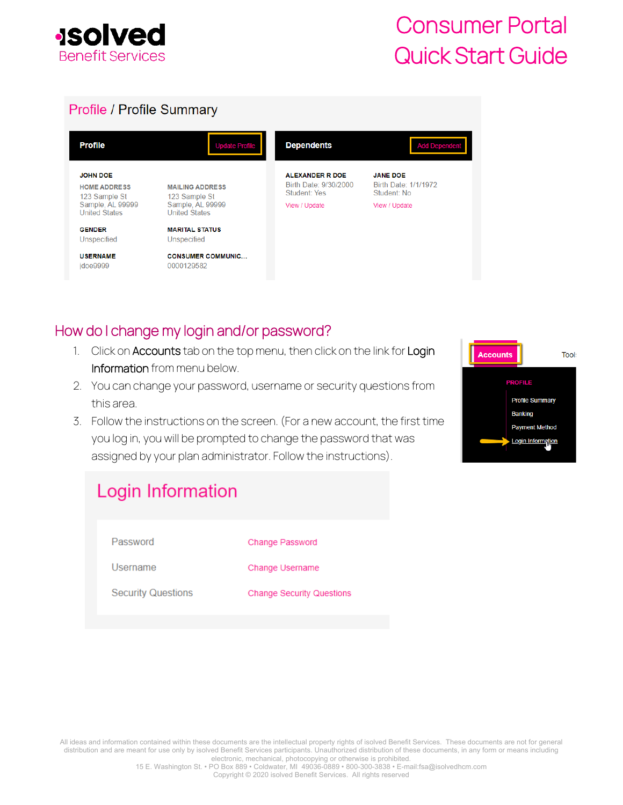

### **Profile / Profile Summary**

| <b>Profile</b>                                          | <b>Update Profile</b>                    | <b>Dependents</b>                                                      | <b>Add Dependent</b>                                   |
|---------------------------------------------------------|------------------------------------------|------------------------------------------------------------------------|--------------------------------------------------------|
| <b>JOHN DOE</b><br><b>HOME ADDRESS</b><br>123 Sample St | <b>MAILING ADDRESS</b><br>123 Sample St  | <b>ALEXANDER R DOE</b><br>Birth Date: 9/30/2000<br><b>Student: Yes</b> | <b>JANE DOE</b><br>Birth Date: 1/1/1972<br>Student: No |
| Sample, AL 99999<br><b>United States</b>                | Sample, AL 99999<br><b>United States</b> | View / Update                                                          | View / Update                                          |
| <b>GENDER</b><br>Unspecified                            | <b>MARITAL STATUS</b><br>Unspecified     |                                                                        |                                                        |
| <b>USERNAME</b><br>idoe9999                             | <b>CONSUMER COMMUNIC</b><br>0000129582   |                                                                        |                                                        |

### <span id="page-11-0"></span>How do I change my login and/or password?

- 1. Click on Accounts tab on the top menu, then click on the link for Login Information from menu below.
- 2. You can change your password, username or security questions from this area.
- 3. Follow the instructions on the screen. (For a new account, the first time you log in, you will be prompted to change the password that was assigned by your plan administrator. Follow the instructions).

| <u> The Common Section of the Common Section of the Common Section of the Common Section of the Common Section of</u><br><b>Accounts</b> | <b>Tool:</b> |
|------------------------------------------------------------------------------------------------------------------------------------------|--------------|
| <b>PROFILE</b>                                                                                                                           |              |
| <b>Profile Summary</b>                                                                                                                   |              |
| <b>Banking</b>                                                                                                                           |              |
| <b>Payment Method</b>                                                                                                                    |              |
| <b>Login Information</b>                                                                                                                 |              |

# Login Information

| Password                  | Change Password                  |
|---------------------------|----------------------------------|
| Username                  | Change Username                  |
| <b>Security Questions</b> | <b>Change Security Questions</b> |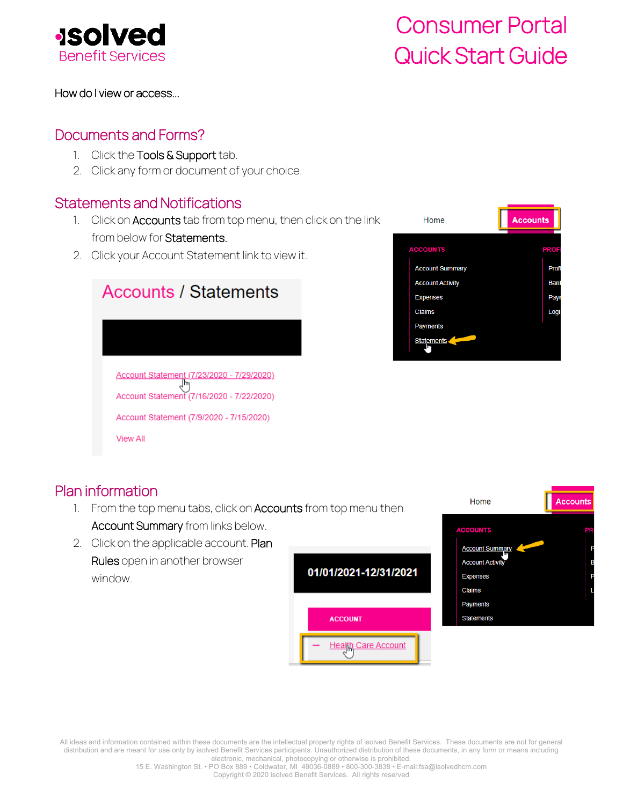

### <span id="page-12-0"></span>How do I view or access...

### Documents and Forms?

- 1. Click the Tools & Support tab.
- 2. Click any form or document of your choice.

### <span id="page-12-1"></span>Statements and Notifications

- 1. Click on **Accounts** tab from top menu, then click on the link from below for Statements.
- 2. Click your Account Statement link to view it.

| <b>Accounts / Statements</b>                                                                 |
|----------------------------------------------------------------------------------------------|
|                                                                                              |
| Account Statement (7/23/2020 - 7/29/2020)<br>lm<br>Account Statement (7/16/2020 - 7/22/2020) |
| Account Statement (7/9/2020 - 7/15/2020)                                                     |
| View All                                                                                     |



### <span id="page-12-2"></span>Plan information

- 1. From the top menu tabs, click on **Accounts** from top menu then Account Summary from links below.
- 2. Click on the applicable account. Plan Rules open in another browser window.